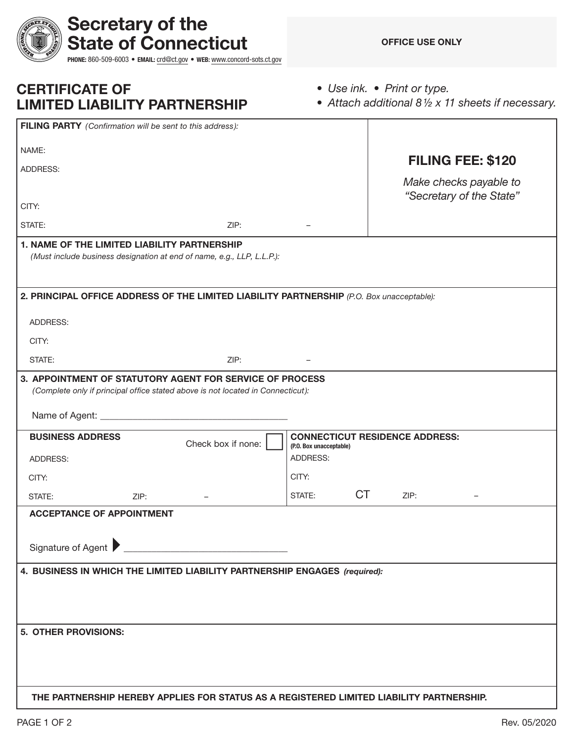| Secretary of the<br><b>State of Connecticut</b>                                                                                                                               | PHONE: 860-509-6003 · EMAIL: crd@ct.gov · WEB: www.concord-sots.ct.gov            |                                                                  |           | <b>OFFICE USE ONLY</b>                             |  |
|-------------------------------------------------------------------------------------------------------------------------------------------------------------------------------|-----------------------------------------------------------------------------------|------------------------------------------------------------------|-----------|----------------------------------------------------|--|
| <b>CERTIFICATE OF</b><br><b>LIMITED LIABILITY PARTNERSHIP</b>                                                                                                                 | • Use ink. • Print or type.<br>• Attach additional 81/2 x 11 sheets if necessary. |                                                                  |           |                                                    |  |
| FILING PARTY (Confirmation will be sent to this address):                                                                                                                     |                                                                                   |                                                                  |           |                                                    |  |
| NAME:                                                                                                                                                                         |                                                                                   |                                                                  |           | <b>FILING FEE: \$120</b>                           |  |
| ADDRESS:                                                                                                                                                                      |                                                                                   |                                                                  |           |                                                    |  |
|                                                                                                                                                                               |                                                                                   |                                                                  |           | Make checks payable to<br>"Secretary of the State" |  |
| CITY:                                                                                                                                                                         |                                                                                   |                                                                  |           |                                                    |  |
| STATE:                                                                                                                                                                        | ZIP:                                                                              |                                                                  |           |                                                    |  |
| <b>1. NAME OF THE LIMITED LIABILITY PARTNERSHIP</b><br>(Must include business designation at end of name, e.g., LLP, L.L.P.):                                                 |                                                                                   |                                                                  |           |                                                    |  |
| 2. PRINCIPAL OFFICE ADDRESS OF THE LIMITED LIABILITY PARTNERSHIP (P.O. Box unacceptable):                                                                                     |                                                                                   |                                                                  |           |                                                    |  |
| ADDRESS:                                                                                                                                                                      |                                                                                   |                                                                  |           |                                                    |  |
| CITY:                                                                                                                                                                         |                                                                                   |                                                                  |           |                                                    |  |
| STATE:                                                                                                                                                                        | ZIP:                                                                              |                                                                  |           |                                                    |  |
| 3. APPOINTMENT OF STATUTORY AGENT FOR SERVICE OF PROCESS<br>(Complete only if principal office stated above is not located in Connecticut):<br>Name of Agent: _______________ |                                                                                   |                                                                  |           |                                                    |  |
| <b>BUSINESS ADDRESS</b>                                                                                                                                                       | Check box if none:                                                                | <b>CONNECTICUT RESIDENCE ADDRESS:</b><br>(P.O. Box unacceptable) |           |                                                    |  |
| ADDRESS:                                                                                                                                                                      |                                                                                   | <b>ADDRESS:</b>                                                  |           |                                                    |  |
| CITY:                                                                                                                                                                         |                                                                                   | CITY:                                                            |           |                                                    |  |
| ZIP:<br>STATE:                                                                                                                                                                |                                                                                   | STATE:                                                           | <b>CT</b> | ZIP:                                               |  |
| <b>ACCEPTANCE OF APPOINTMENT</b>                                                                                                                                              |                                                                                   |                                                                  |           |                                                    |  |
| Signature of Agent                                                                                                                                                            |                                                                                   |                                                                  |           |                                                    |  |
| 4. BUSINESS IN WHICH THE LIMITED LIABILITY PARTNERSHIP ENGAGES (required):                                                                                                    |                                                                                   |                                                                  |           |                                                    |  |
| 5. OTHER PROVISIONS:                                                                                                                                                          |                                                                                   |                                                                  |           |                                                    |  |
| THE PARTNERSHIP HEREBY APPLIES FOR STATUS AS A REGISTERED LIMITED LIABILITY PARTNERSHIP.                                                                                      |                                                                                   |                                                                  |           |                                                    |  |